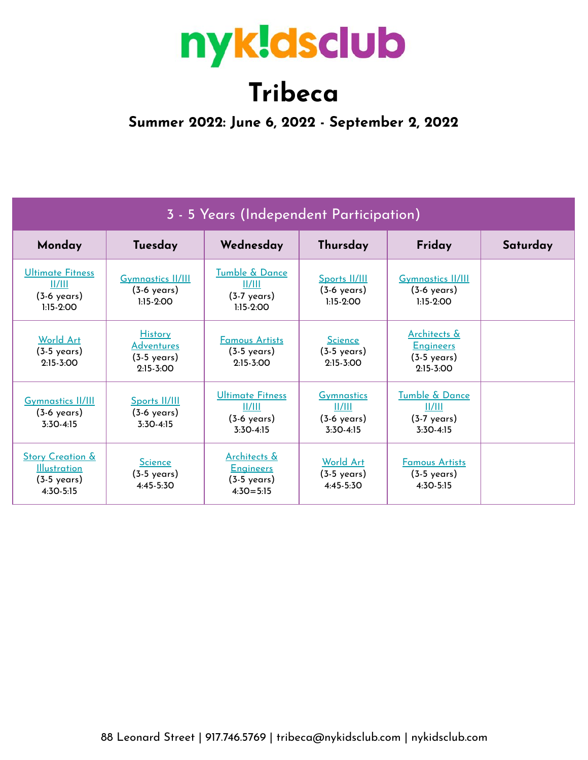# nyk!dsclub

## **Tribeca**

**Summer 2022: June 6, 2022 - September 2, 2022**

| 3 - 5 Years (Independent Participation)                                                  |                                                                               |                                                                                       |                                                                     |                                                                            |          |  |  |  |
|------------------------------------------------------------------------------------------|-------------------------------------------------------------------------------|---------------------------------------------------------------------------------------|---------------------------------------------------------------------|----------------------------------------------------------------------------|----------|--|--|--|
| Monday                                                                                   | Tuesday                                                                       | Wednesday                                                                             | Thursday                                                            | Friday                                                                     | Saturday |  |  |  |
| Ultimate Fitness<br>II/III<br>$(3-6 \text{ years})$<br>$1:15-2:00$                       | <b>Gymnastics II/III</b><br>$(3-6 \text{ years})$<br>$1:15-2:00$              | Tumble & Dance<br>  /   <br>$(3-7 \text{ years})$<br>$1:15-2:00$                      | Sports II/III<br>$(3-6 \text{ years})$<br>$1.15 - 2.00$             | <b>Gymnastics II/III</b><br>$(3-6 \text{ years})$<br>$1.15 - 2.00$         |          |  |  |  |
| <b>World Art</b><br>$(3-5 \text{ years})$<br>$2:15-3:00$                                 | <b>History</b><br><b>Adventures</b><br>$(3-5 \text{ years})$<br>$2:15 - 3:00$ | <b>Famous Artists</b><br>$(3-5 \text{ years})$<br>$2:15 - 3:00$                       | <b>Science</b><br>$(3-5 \text{ years})$<br>$2:15-3:00$              | Architects &<br><b>Engineers</b><br>$(3-5 \text{ years})$<br>$2:15 - 3:00$ |          |  |  |  |
| <b>Gymnastics II/III</b><br>$(3-6 \text{ years})$<br>$3:30-4:15$                         | <b>Sports II/III</b><br>$(3-6 \text{ years})$<br>$3:30-4:15$                  | Ultimate Fitness<br>II/III<br>$(3-6 \text{ years})$<br>$3:30-4:15$                    | <b>Gymnastics</b><br>  /   <br>$(3-6 \text{ years})$<br>$3:30-4:15$ | Tumble & Dance<br>  /   <br>$(3-7 \text{ years})$<br>$3:30-4:15$           |          |  |  |  |
| <b>Story Creation &amp;</b><br><b>Illustration</b><br>$(3-5 \text{ years})$<br>4:30-5:15 | <b>Science</b><br>$(3-5 \text{ years})$<br>4:45-5:30                          | <b>Architects &amp;</b><br><b>Engineers</b><br>$(3-5 \text{ years})$<br>$4:30 = 5:15$ | <b>World Art</b><br>$(3-5 \text{ years})$<br>$4:45-5:30$            | <b>Famous Artists</b><br>$(3-5 \text{ years})$<br>$4:30-5:15$              |          |  |  |  |